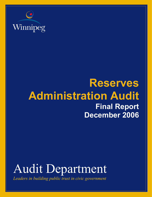

## **Reserves Administration Audit Final Report December 2006**

# Audit Department

*Leaders in building public trust in civic government*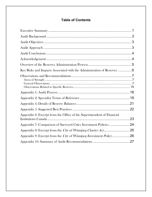### **Table of Contents**

| Key Risks and Impacts Associated with the Administration of Reserves  6 |  |
|-------------------------------------------------------------------------|--|
|                                                                         |  |
|                                                                         |  |
|                                                                         |  |
|                                                                         |  |
|                                                                         |  |
|                                                                         |  |
| Appendix 6: Excerpt from the Office of the Superintendent of Financial  |  |
| Appendix 7: Comparison of Surveyed Cities Investment Policies 24        |  |
|                                                                         |  |
| Appendix 9: Excerpt from the City of Winnipeg Investment Policy26       |  |
|                                                                         |  |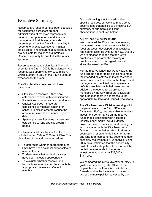### Executive Summary

Reserves are funds that have been set aside for designated purposes; prudent administration of reserves represents an important component of sound financial management. Maintaining adequate reserves provides the City with the ability to respond to unexpected events, maintain stable taxes, and ensure that sufficient funds are available for major capital projects. Reserves can only be created with Council approval.

Reserves represent a significant financial asset for the City. In 2005, the balance in the reserves was approximately \$292 million, which is equal to 28% of the City's budgeted expenses for the year.

The City classifies reserves into three categories:

- Stabilization reserves these are established to deal with unanticipated fluctuations in revenues or expenditures.
- Capital Reserves these are established to maintain funding for capital projects in order to reduce the amount required to be financed by new debt.
- Special purpose Reserves these are established to fund specific program needs.

The Reserves Administration Audit was included in our 2004 – 2006 Audit Plan. The objectives of the audit were as follows:

- To determine whether appropriate fund limits have been established for selected reserve funds.
- To determine whether fund balances have been invested appropriately.
- To evaluate whether reserve fund transactions were in compliance with the appropriate by-laws and Council minutes.

Our audit testing was focused on five specific reserves, but we also made some observations that applied to all reserves. A summary of our more significant observations is captured below:

#### **Significant Observations**

We compared the City's practices relating to the administration of reserves to a list of "best practices" developed by a specialist retained to assist us with our review. Overall, we are pleased to report that the City's practices incorporated the majority of practices noted. In this regard, several strengths were identified.

For the reserve funds that we reviewed, the fund targets appear to be sufficient to meet the intended objectives. In instances where actual balances differed from the target, fund managers had identified the surpluses or deficits associated with their reserves. In addition, the reserve funds are being managed by the City Treasurer's Division and fund managers in adherence to the appropriate by-laws and Council resolutions.

The City Treasurer's Division, working within the parameters of the *City of Winnipeg Investment Policy,* has been able to achieve investment performance on the reserve funds that is consistent with accepted industry benchmarks. We did identify, however, an opportunity for fund managers, in consultation with the City Treasurer's Division, to derive better rates of return by segregating reserve funds into short-term and long-term components, depending upon cash flow requirements. Our analysis, using 2005 data, estimated that the opportunity cost of not allocating the idle portions of the pooled reserve funds to longer-term investments ranged from \$38,000 to \$171,000.

We compared the City's *Investment Policy* to guidance provided by The Office of the Superintendent of Financial Institutions Canada and to the investment policies of two of the municipalities surveyed by our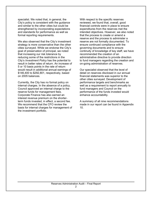specialist. We noted that, in general, the City's policy is consistent with the guidance and similar to the other cities but could be strengthened by incorporating expectations and standards for performance as well as formal reporting requirements.

We also observed that the City's investment strategy is more conservative than the other cities surveyed. While we endorse the City's goal of preservation of principal, we noted that increasing our risk tolerance by reducing some of the restrictions in the City's *Investment Policy* has the potential to result in better rates of return. An increase of 5 or 10 basis points in the rate of return would result in additional annual earnings of \$146,400 to \$292,801, respectively, based on 2005 balances.

Currently, the City has no formal policy on internal charges. In the absence of a policy, Council approved an internal charge to the reserve funds for management fees. Corporate Finance has also earned an interest revenue premium on the shorterterm funds invested, in effect, a second fee. We recommend that the CFO review the basis for internal charges for management of the investment portfolio.

With respect to the specific reserves reviewed, we found that, overall, good financial controls were in place to ensure expenditures from the reserves met the intended objectives. However, we also noted that the process to create or amend a reserve and the process to administer a reserve are not formally documented. To ensure continued compliance with the governing documents and to ensure continuity of knowledge of key staff, we have recommended the creation of an administrative directive to provide direction to fund managers regarding the creation and on-going administration of reserves.

Our specialist observed that the level of detail on reserves disclosed in our annual financial statements was superior to the other cities surveyed. Development of performance targets and benchmarks as well as a requirement to report annually to fund managers and Council on the performance of the funds invested would enhance accountability.

A summary of all nine recommendations made in our report can be found in Appendix 10.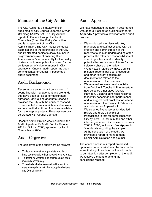### Mandate of the City Auditor

The City Auditor is a statutory officer appointed by City Council under the *City of Winnipeg Charter Act*. The City Auditor reports to Council through the Audit Committee (Executive Policy Committee) and is independent of the City Administration. The City Auditor conducts examinations of the operations of the City and its affiliated bodies to assist Council in its governance role of ensuring Civic Administration's accountability for the quality of stewardship over public funds and for the achievement of value for money in City operations. Once an audit report has been communicated to Council, it becomes a public document.

### Audit Background

Reserves are an important component of sound financial management and are funds that have been set aside for designated purposes. Maintaining adequate reserves provides the City with the ability to respond to unexpected events, maintain stable taxes, and ensure that sufficient funds are available for major capital projects. Reserves can only be created with Council approval.

Reserve Administration was included in the Audit Department's Audit Plan for October 2005 to October 2006, approved by Audit Committee in 2004.

### Audit Objectives

The objectives of the audit were as follows:

- To determine whether appropriate fund limits have been established for selected reserve funds.
- To determine whether fund balances have been invested appropriately.
- To evaluate whether reserve fund transactions were in compliance with the appropriate by-laws and Council minutes.

### Audit Approach

We have conducted the audit in accordance with generally accepted auditing standards. **Appendix 1** provides a flowchart of the audit process.

- We conducted interviews with key managers and staff associated with the creation and administration of the reserves to gain an understanding of the process, the roles and responsibilities of specific positions, and to identify potential issues or areas of focus for the fieldwork phase of the review.
- We reviewed related by-laws, Council minutes, reports, policies, procedures and other relevant background documentation related to the administration of the reserves.
- We retained an investment specialist from Deloitte & Touche LLP to ascertain how selected other cities (Ottawa, Hamilton, Calgary) administer reserves, to identify benchmarks for performance and to suggest best practices for reserve administration. The Terms of Reference are included as **Appendix 2**.
- We selected five reserves for detailed review and drew a sample of transactions to test for compliance with City by-laws, Council minutes and other internal guidance. Our review period was 2003 to 2005, inclusive. (See **Appendix 3** for details regarding the sample.)
- At the conclusion of the audit, we provided a report to management, Senior Administration and Council.

The conclusions in our report are based upon information available at the time. In the event that significant information is brought to our attention after completion of the audit, we reserve the right to amend the conclusions reached.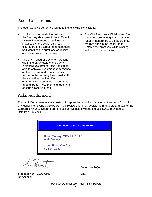### Audit Conclusions

The audit work we performed led us to the following conclusions:

- For the reserve funds that we reviewed, the fund targets appear to be sufficient to meet the intended objectives. In instances where actual balances differed from the target, fund managers had identified the surpluses or deficits associated with their reserves.
- The City Treasurer's Division, working within the parameters of the *City of Winnipeg Investment Policy,* has been able to achieve investment performance on the reserve funds that is consistent with accepted industry benchmarks. At the same time, we identified opportunities to enhance performance through better investment management of certain reserve funds.
- funds in adherence to the appropriate by-laws and Council resolutions. Established practices, while working well, should be formalized.

• The City Treasurer's Division and fund managers are managing the reserve

### Acknowledgement

The Audit Department wants to extend its appreciation to the management and staff from all City departments who participated in the review and, in particular, the managers and staff of the Corporate Finance Department. In addition, we acknowledge the assistance provided by Deloitte & Touche LLP.

|                       | <b>Members of the Audit Team</b> |  |  |  |
|-----------------------|----------------------------------|--|--|--|
| <b>Audit Manager</b>  | Bryan Mansky, MBA, CMA, CIA      |  |  |  |
| <b>Senior Auditor</b> | Jason Egert, CA.CIA              |  |  |  |
|                       |                                  |  |  |  |

J. Hunt \_\_\_\_\_\_\_\_\_\_\_\_\_\_\_\_\_\_\_\_\_\_\_\_\_ *\_\_\_\_\_\_\_\_\_\_\_\_\_\_\_\_\_\_\_\_\_\_\_\_\_\_\_\_*

December 2006

Shannon Hunt, CGA, CFE Date City Auditor

Reserves Administration Audit – Final Report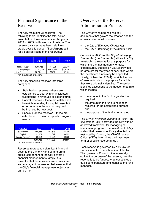### Financial Significance of the Reserves

The City maintains 31 reserves. The following table identifies the total dollar value held in those reserves for the years 2003 to 2005 (in thousands of dollars). The reserve balances have been relatively stable over this period. (See **Appendix 4** for a detailed listing of the reserves.)

|                   | 2003        | 2004        | 2005        |
|-------------------|-------------|-------------|-------------|
| Total Reserves*   | \$295.756   | \$314.228   | \$292.801   |
| Operating Budget* | \$1,031,425 | \$1.025.472 | \$1.044.923 |
| % of Budget       | 28.7%       | 30.6%       | 28.0%       |

\* in thousands of dollars

The City classifies reserves into three categories:

- Stabilization reserves these are established to deal with unanticipated fluctuations in revenues or expenditures.
- Capital reserves these are established to maintain funding for capital projects in order to reduce the amount required to be financed by new debt.
- Special purpose reserves these are established to maintain specific program needs.

| Reserve,         | 2003      | 2004      | 2005      |
|------------------|-----------|-----------|-----------|
| Stabilization*   | \$60,588  | \$62,325  | \$64.004  |
| Capital*         | 152.804   | 179.679   | 159.772   |
| Special Purpose* | 82.364    | 72.224    | 69.025    |
|                  | \$295,756 | \$314,228 | \$292,801 |

\* in thousands of dollars

Reserves represent a significant financial asset to the City of Winnipeg and are a critical component of the City's overall financial management strategy. It is essential that these assets are administered and managed in a manner that ensures that the City's financial management objectives can be met.

### Overview of the Reserves Administration Process

The City of Winnipeg has two key documents that govern the creation and the administration of all reserves:

- the *City of Winnipeg Charter Act*
- the *City of Winnipeg Investment Policy*

Subsection 289(1) of the *City of Winnipeg Charter Act* (the *Charter Act*) allows the City to establish a reserve for any purpose for which the City has authority to make expenditures. Subsection 289(3) provides parameters for the types of securities where the investment funds may be deposited. Finally, Subsection 289(4) restricts the use of reserve funds to the purpose for which they were originally identified. The section identifies exceptions to the above-noted rule which include

- the amount in the fund is greater than required;
- the amount in the fund is no longer required for the established purpose; and
- the purpose of the fund is terminated.

The *City of Winnipeg Investment Policy* (the *Investment Policy)* provides the City with an approved framework for managing its investment program. The *Investment Policy* states "that unless specifically directed or restricted by Council, the Chief Financial Officer (CFO) determines the investment term of specific reserve funds".

Each reserve is governed by a by-law, or Council minute, or combination of the two. The by-laws or Council minutes usually outline the purpose of the reserve, how the reserve is to be funded, what constitutes a qualified expenditure and identifies the fund manager.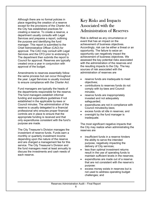Although there are no formal policies in place regarding the creation of a reserve except for the provisions of the *Charter Act,*  the City has established practices for creating a reserve. To create a reserve, a department usually consults with Legal Services and prepares a report, outlining the purpose and identifying the fund manager. This report is submitted to the Chief Administrative Officer (CAO) for approval. The CAO may consult with Legal Services and the CFO prior to endorsing it. The department then submits the report to Council for approval. Reserves are typically created once a year in conjunction with approval of the budget.

Amendments to reserves essentially follow the same process but can occur throughout the year. Legal Services is usually involved to ensure compliance with the *Charter Act.* 

Fund managers are typically the heads of the departments responsible for the reserve. The fund managers establish informal funding and expenditure guidelines if not established in the applicable by-laws or Council minutes. The administration of the reserve is usually delegated to a financial professional who ensures proper financial controls are in place to ensure that the appropriate funding is received and that only expenditures consistent with the fund's purpose are made.

The City Treasurer's Division manages the investment of reserve funds. Funds earn a monthly or quarterly investment income depending upon the nature of the reserve and are charged a management fee for this service. The City Treasurer's Division and the fund managers meet at least annually to discuss the investments and cash needs of each reserve.

### Key Risks and Impacts Associated with the Administration of Reserves

Risk is defined as any circumstance or event that has an impact on the achievement of business objectives. Accordingly, risk can be either a threat or an opportunity. The failure to seize an opportunity can negatively impact the achievement of business objectives. We assessed the key potential risks associated with the administration of the reserves and the resulting impacts to the City. The key sources of risk associated with the administration of reserves are

- reserve funds are inadequate to meet objectives;
- contributions to reserves funds do not comply with by-laws and Council minutes;
- reserve funds are inappropriately invested and not adequately safeguarded;
- expenditures are not in compliance with Council minutes/by-laws;
- excess funds sit idle in reserves; and
- oversight by the fund manager is inadequate.

The most significant negative impacts that the City may realize when administrating the reserves are

- insufficient funds in a reserve hinders the ability to serve the intended purpose, negatively impacting the delivery of City services;
- less than optimal investment returns result in the use of operating funds to maintain sufficient levels in the reserves;
- expenditures are made out of a reserve that are not consistent with the reserve's purpose:
- excess money exists in reserves but is not used to address operating budget challenges; and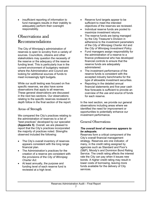• insufficient reporting of information to fund managers results in their inability to adequately perform their oversight responsibility.

### Observations and Recommendations

The City of Winnipeg's administration of reserves is open to scrutiny from a variety of sources. Councillors, citizens and other stakeholders may question the necessity of the reserve or the adequacy of the reserve funding level. This is particularly true in the current environment of budgetary restraint where the Administration and Council are looking for additional sources of funds to meet increasingly tight budgets.

While our audit testing was focused on five specific reserves, we also have some observations that apply to all reserves. These general observations are discussed in the next two sections. Our observations relating to the specific reserves reviewed in depth follow in the final section of the report.

#### Areas of Strength

We compared the City's practices relating to the administration of reserves to a list of "best practices" developed by our specialist **(Appendix 5)**. Overall, we are pleased to report that the City's practices incorporated the majority of practices noted. Strengths observed included the following:

- The City's overall inventory of reserves appears consistent with the long range financial plan.
- The Administration's practices for the creation of a reserve are consistent with the provisions of the *City of Winnipeg Charter Act*.
- At least annually, the purpose and funding level of each reserve fund is reviewed at a high level.
- Reserve fund targets appear to be sufficient to meet the intended objectives of the reserves we reviewed.
- Individual reserve funds are pooled to maximize investment returns.
- The reserve funds are being managed by the City Treasurer's Division in adherence to the investment parameters of the *City of Winnipeg Charter Act* and the *City of Winnipeg Investment Policy.*
- Fund managers assign responsibility for the administration of a reserve to a finance professional who has developed financial controls to ensure that the reserve funds are adequately administered.
- The investment performance of the reserve funds is consistent with the accepted industry benchmarks for the type of allowable investment securities.
- Reporting in the detailed annual financial statements and five-year cash flow forecasts is sufficient to provide an overview of the use and source of funds for each reserve.

In the next section, we provide our general observations including areas where we identified the need for improvement or opportunities to potentially enhance our investment performance.

#### General Observations

#### *The overall level of reserves appears to be adequate.*

Reserves form a critical component of the City's overall financial management strategy. Reserves are one indicator, of many, in the credit rating assigned by agencies such as Standard and Poor's (S&P), Moody's and Dominion Bond Rating Service. The credit rating affects the interest rate the City can pay when it issues new bonds. A higher credit rating may result in lower costs of borrowing, leaving more funds available for the delivery of City services.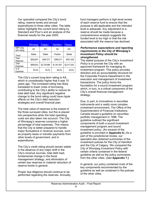Our specialist compared the City's bond rating, reserve levels and annual expenditures to three other cities. The table below highlights the current bond rating by Standard and Poor's and an analysis of the financial results for the year 2005.

|                         | Winnipeg  | Calgary     | <b>Hamilton</b> | Ottawa      |
|-------------------------|-----------|-------------|-----------------|-------------|
| S&P Long<br>term rating | AA        | AA+         | AA              | AA+         |
| Trend                   | Stable    | Stable      | Positive        | Stabile     |
| Total<br>Reserves       | \$292.801 | \$497,571   | \$365.071       | \$451.438   |
| Total<br>Expenses       | \$958,833 | \$2,729,985 | \$1.301.921     | \$2.317.524 |
| $%$ of<br>Expenses      | 30.5%     | 18.2%       | 28.0%           | 19.5%       |

The City's current long-term rating is AA, which is considerably higher that it was 10 years ago. The increased rating has likely translated to lower costs of borrowing, contributing to the City's ability to reduce its total debt load. Any significant negative change to the bond rating could have ripple effects on the City's debt reduction strategies and overall financial plan.

The total value of reserves is the lowest of the three surveyed cities, but this is placed into perspective when the total operating costs are also taken into account. The City of Winnipeg's reserves comprise a higher percentage of total expenses. This means that the City is better prepared to handle major fluctuations in revenue sources, such as property taxes or transfer payments from other levels of government, and in expenditures.

The City's credit rating should remain stable in the absence of any major shift in the City's revenue sources, total debt load, fundamental change in the fiscal management strategy, and elimination of certain key reserves or material reduction of reserve levels in general.

Proper due diligence should continue to be performed regarding the reserves. Annually,

fund managers perform a high-level review of each reserve fund to ensure that the purpose is still applicable and the intended level is adequate. Any adjustment to a reserve should be made because a comprehensive analysis suggests the funded level is too high or that the risk associated with the reserve has declined.

#### *Performance expectations and reporting requirements in the City of Winnipeg's Investment Policy should be strengthened.*

The stated purpose of the City's *Investment Policy* is to provide the City with an approved framework for managing its investment program. This policy provides direction and an accountability structure for the Corporate Finance Department in the execution and management of investment transactions. The policy forms the foundation for a sound investment program, which, in turn, is a critical component of the City's overall financial management strategy.

Due, in part, to innovations in securities instruments and a vastly more complex investment environment, The Office of the Superintendent of Financial Institutions Canada issued a guideline on securities portfolio management in 1998. The guideline outlined the significant components of both a sound investment management program and sound investment policy. (An excerpt of the guideline is provided in **Appendix 6.**) As a part of the jurisdictional review, our specialist also obtained summaries of the investment policies for the City of Hamilton and the City of Calgary. We compared the City of Winnipeg *Investment Policy* with certain criteria contained in the federal guideline as well as the policy summaries from the other cities. (See **Appendix 7.)**

In general, our policy contained most of the key components recommended by the guideline as well as contained in the policies of the other cities.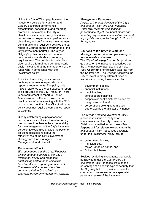Unlike the City of Winnipeg, however, the investment policies for Hamilton and Calgary described performance expectations, benchmarks and reporting protocols. For example, the City of Hamilton's Investment Policy describes portfolio return expectations, performance objectives, and performance measurement benchmarks and requires a detailed annual report to Council on the performance of the City's investment portfolio. The City of Calgary's policy outlines performance benchmarks, standards and reporting requirements. The policies for both cities also require a formal report on a quarterly basis indicating that the management of the funds was in compliance with the investment policy.

The City of Winnipeg policy does not contain performance expectations or reporting requirements. The policy only makes reference to a credit exposure report to be provided to the City Treasurer. There is no requirement to report to Senior Administration or Council; however, in practice, an informal meeting with the CFO is conducted monthly. The City of Winnipeg policy does not require a compliance report to Council.

Clearly establishing expectations for performance as well as a formal reporting protocol would enhance the accountability for the management of the City's investment portfolio. It would also provide the basis for on-going discussions about the effectiveness of the City's investment strategy with fund managers, Senior Management, and Council.

#### *Recommendation 1*

*We recommend that the Chief Financial Officer conduct a review of the City's Investment Policy with respect to establishing performance objectives, benchmarks and reporting requirements. The results of the review should be communicated to Council with an appropriate recommendation for revisions.* 

#### *Management Response*

*As part of the annual review of the City's Investment Policy, the Chief Financial Officer will research and consider performance objectives, benchmarks and reporting requirements, and will recommend appropriate changes be brought to Council for approval.* 

#### *Changes to the City's investment strategy may provide an opportunity to increase rates of return.*

The *City of Winnipeg Charter Act* provides guidance on the investment securities that the City may purchase, acquire or hold. (See **Appendix 8** for relevant excerpts from the *Charter Act.*) The *Charter Act* allows the City to invest in many different types of securities, including those issued by

- government bodies,
- financial institutions,
- municipalities,
- school boards/districts,
- hospitals or health districts funded by the government, and
- corporations belonging to a class authorized by the Minister of Finance.

The *City of Winnipeg Investment Policy* places restrictions on the type of investments that the City Treasurer's Division is permitted to purchase. (See **Appendix 9** for relevant excerpts from the *Investment Policy.*) Securities allowable under the *Investment Policy* include

- government bodies,
- municipalities,
- major Canadian banks, and
- Schedule II banks.

Besides restricting investments that would be allowed under the *Charter Act,* the *Investment Policy* imposes limits on the percentage of a specific type of security that the City may hold. To provide a basis for comparison, we requested our specialist to perform a review of the investment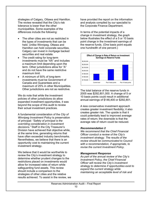strategies of Calgary, Ottawa and Hamilton. The review revealed that the City's risk tolerance is lower than the other municipalities. Some examples of the differences include the following:

- The other cities are not as restricted in the types of investments that can be held. Unlike Winnipeg, Ottawa and Hamilton can hold corporate securities. Calgary can invest in mortgage backed securities and real estate.
- The credit rating for long-term investments must be "AA" and includes a maximum limit depending upon the term. Other jurisdictions allow for "A" and do not have the same restrictive maximum limit.
- A minimum of 50% of long-term investments must be Government of Canada and Guarantees and a maximum of 25% in other Municipalities. Other jurisdictions are not as restrictive.

We do note that while the investment policies of other jurisdictions do allow expanded investment opportunities, it was beyond the scope of this audit to review their actual investment practices.

A fundamental consideration of the *City of Winnipeg Investment Policy* is preservation of principal: *"Safety of principal is the overriding consideration in investment decisions."* Staff in the City Treasurer's Division have achieved that objective while, at the same time, generating returns that have often exceeded industry benchmarks. Nevertheless, we believe that there is an opportunity cost to maintaining the current investment strategy.

We believe that it would be worthwhile to review the City's investment strategy to determine whether prudent changes to the restrictions placed on investments would allow for increased rates of return while safeguarding fund assets. This review should include a comparison to the strategies of other cities and the relative results achieved. To assist in the review, we

have provided the report on the information and analysis compiled by our specialist to the Corporate Finance Department.

In terms of the potential impacts of a change in investment strategy, the graph below illustrates the effect of a 5 or 10 basis point change in the investment earnings of the reserve funds. (One basis point equals one hundredth of one percent.)



The total balance of the reserve funds in 2005 was \$292,801,000. A change of 5 or 10 basis points could result in additional annual earnings of \$146,400 or \$292,801.

A less conservative investment approach creates greater investment flexibility; it also creates greater risk. The upside is that it could potentially lead to improved average rates of return; the downside is that the average rate of return could be reduced.

#### *Recommendation 2*

*We recommend that the Chief Financial Officer conduct a review of the City's investment strategy. The results of the review should be communicated to Council with a recommendation, if appropriate, to revise the current Investment Policy.* 

#### *Management Response*

*As part of the annual review of the City's Investment Policy, the Chief Financial Officer will review the City's investment strategy to determine if opportunities exist to expand the current strategy while maintaining an acceptable level of risk and*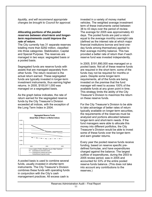*liquidity, and will recommend appropriate changes be brought to Council for approval.* 

#### *Allocating portions of the pooled reserves between short-term and longerterm requirements could improve the rate of return.*

The City currently has 31 separate reserves totalling more than \$292 million, classified into three categories: Stabilization, Capital and Special Purpose. The reserves are managed in two ways: segregated basis or a pooled basis.

Segregated funds are reserve funds with assets that are managed separately from other funds. The return received is the actual return earned. These segregated funds are typically invested in longer-term investment instruments, thus earning higher returns. In 2005, \$100,911,000 was managed on a segregated basis.

As the graph below indicates, the rate of return earned for the segregated reserve funds by the City Treasurer's Division exceeded all indices, with the exception of the Long Term Index in 2004.



A pooled basis is used to combine several funds, usually invested in shorter-term instruments. The City Treasurer's Division combines these funds with operating funds in conjunction with the City's cash management practices. All excess cash is

invested in a variety of money market vehicles. The weighted average investment term of these instruments varied between 38 to 43 days over the period of review. The average for 2005 was approximately 43 days. The pooled funds are paid a return equal to the average monthly overnight rate (defined as the interest rate at which major financial institutions borrow and lend oneday funds among themselves) applied to their average monthly balance. This has provided a better rate of return than if each reserve fund was invested independently.

In 2005, \$191,890,000 was managed on a pooled basis. Not all of these reserve funds are required in the short term; some of the funds may not be required for months or years. Despite some longer-term requirements, all of the funds are being invested on the premise that the fund manager will need to access 100% of the available funds at any given point in time. This strategy limits the ability of the City Treasurer's Division to maximize the return on these reserve funds.

For the City Treasurer's Division to be able to take advantage of better rates of return typically available on longer-term securities, the requirements of the reserves must be analyzed and portions allocated between longer-term and short-term needs. If the fund managers were able to allocate this money into different portfolios, the City Treasurer's Division would be able to invest some of these funds over the longer-term and earn greater returns.

Every year the pooled reserve funds receive funding, based on reserve specific predefined formulae, and have expenditures charged against the balance. The largest outflow of expenditures, during the 2003 to 2005 review period, was in 2005 and accounted for 33% of the entire pooled reserve funds balance. (This does not take into account any contributions to the reserves.)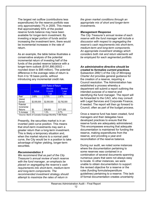The largest net outflow (contributions less expenditures) for the reserve portfolio was only approximately 7% in 2005. This means that approximately 93% of the pooled reserve funds balance may have been available for longer-term investment. By investing a larger portion of funds and/or increasing the investment term, there would be incremental increases in the rate of return.

As an example, the table below illustrates a conservative analysis of the potential incremental return of investing half of the funds of the pooled reserve balance with a longer-term outlook (\$191,890,000/2 – rounded down to \$95 million). The potential difference in the average rates of return is from 4 to 18 basis points, without introducing any incremental credit risk.

|             | 2005 Rates of Return |                |                |  |  |
|-------------|----------------------|----------------|----------------|--|--|
|             |                      |                |                |  |  |
|             |                      | <b>Blended</b> | <b>Blended</b> |  |  |
|             | Actual               | 6 month        | 1 year         |  |  |
|             |                      | T-bill         | T-bill         |  |  |
| Rate*       | 2.69%                | 2.73%          | 2.87%          |  |  |
| Interest    |                      |                |                |  |  |
| Earned      | \$2,555,500          | \$2,593,500    | \$2,762,500    |  |  |
| Potential   |                      |                |                |  |  |
| Incremental |                      |                |                |  |  |
| Returns     | \$0                  | \$38,000       | \$171,000      |  |  |
| % Increase  | 0%                   | 1.5%           | 6.7%           |  |  |

\* Source: Bank of Canada Average Monthly T-Bill Rates

Presently, the securities market is in an inverted yield curve position. This means that short-term investments may earn a greater return than a long-term investment. This is likely a temporary situation and, when the market returns to a normal yield curve, the City would be in a position to take advantage of higher yielding, longer-term securities.

#### *Recommendation 3*

*We recommend that as part of the City Treasurer's annual review of each reserve with the fund manager, an emphasis be placed on segregating the reserve's cash requirements into short-term, medium-term and long-term components. The recommended investment strategy should attempt to maximize the rates of return in* 

*the given market conditions through an appropriate mix of short and longer-term investments.* 

#### *Management Response*

*The City Treasurer's annual review of each reserve with the fund manager will include a discussion with respect to segregating the reserve's cash requirements into short-term, medium-term and long-term components. An appropriate investment strategy which considers both risk and return elements will be employed for each segmented portfolio.*

#### *An administrative directive should be created to formalize current practices.*

Subsection 289(1) of the *City of Winnipeg Charter Act* provides general guidance for the creation of a reserve, requiring a Council resolution. The Administration has established a process whereby a department will submit a report outlining the intended purpose of a reserve and identifying the fund manager. The report will be forwarded to the CAO, who may consult with Legal Services and Corporate Finance, if needed. The report will then go forward to Council, often as part of the budget process.

Once a reserve fund has been created, fund managers and their delegates have developed practices to ensure that the reserve funds are adequately administered. This encompasses ensuring that adequate documentation is maintained for funding the reserve, making expenditures from the reserve, and providing a year-end reconciliation of the reserve balance.

During our audit, we noted some instances where the documentation pertaining to some reserves was contained in a combination of several documents spanning numerous years that were not always easy to locate. In other instances, we were unable to obtain documentation to support the revised objective for a reserve or the rules (funding formula/expenditure guidelines) pertaining to a reserve. This lack of formal documentation creates uncertainty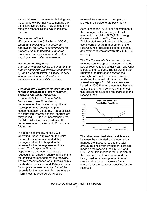and could result in reserve funds being used inappropriately. Formally documenting the administrative practices, including defining roles and responsibilities, would mitigate this risk.

#### *Recommendation 4*

*We recommend the Chief Financial Officer create an administrative directive, for approval by the CAO, to communicate the process and documentation standards required for the creation, amendment and ongoing administration of a reserve.* 

#### *Management Response*

*The Chief Financial Officer will undertake to draft an administrative directive for approval by the Chief Administrative Officer, to deal with the creation, amendment and administration of the City's reserves.* 

#### *The basis for Corporate Finance charges for the management of the investment portfolio should be reviewed.*

In June 2005, the *Final Report of the Mayor's Red Tape Commission* recommended the creation of a policy on interdepartmental charges. In part, Recommendation 23 stated, "Adopt policies to ensure that internal financial charges are fairly priced..." It is our understanding that the Administration plans to address this recommendation in a report to Council at a future date.

In a report accompanying the 2004 Operating Budget submission, the Chief Financial Officer recommended that a management fee be charged to the reserves for the management of those assets. The Corporate Finance Department's operating budget was reduced by an amount roughly equivalent to the anticipated management fee recovery. The rate recommended was 20 basis points for short-term reserves and 10 basis points for longer-term reserve funds. Part of the rationale for the recommended rate was an informal estimate Corporate Finance

received from an external company to provide this service for 25 basis points.

According to the 2005 financial statements, the management fees charged for all reserve funds totalled \$522,000. Through discussions with the City Treasurer's Division staff, we estimated that the actual cost incurred for the management of the reserve funds (including salaries, benefits, and overhead) was approximately \$250,000 annually.

The City Treasurer's Division also derives revenue from the spread between what the pooled reserve funds actually earn and what is paid to the reserves. The following graph illustrates the difference between the overnight rate paid to the pooled reserve funds and the actual return earned. The spread averages 5 to 10 basis points and, based on 2005 figures, amounts to between \$95,945 and \$191,890 annually. In effect, this represents a second fee charged to the reserve funds.



The table below illustrates the difference between the estimated costs incurred to manage the investments and the total amount retained from investment earnings made on the reserve funds in 2004 and 2005. What this means is that a portion of the income earned on reserve funds is being used for a tax-supported internal service rather than to increase funds available for the purposes specified for the reserves.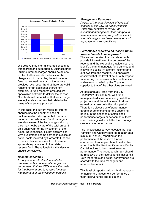

We believe that internal charges should be transparent and supportable. Business units utilizing internal charges should be able to explain to their clients the basis for the charge and, in particular, the rationale for fees that exceed the cost of the service provided. We recognize that there are valid reasons for an additional charge, for example, to fund research or to acquire specialized software to deliver the service. Clients should be satisfied that fees charged are legitimate expenses that relate to the value of the service provided.

In this case, the current model for internal charges has the benefit of ease of implementation. We agree that this is an important consideration. Fund managers are also aware of the two charges although they may not be aware of the total amount paid each year for the investment of their funds. Nevertheless, it is not entirely clear why investment income earned in excess of actual costs incurred by Corporate Finance to deliver this service would not be more appropriately allocated to the related reserve fund. The rationale for this decision should be reviewed.

#### *Recommendation 5*

*In conjunction with development of a proposed policy on internal charges, we recommend that the CFO review the basis for the fees charged to reserve funds for management of the investment portfolio.* 

#### *Management Response*

*As part of the annual review of fees and charges at the City, the Chief Financial Officer will continue to review the investment management fees charged to reserves, and once a policy with respect to internal charges has been developed and approved, ensure compliance.* 

#### *Performance reporting on reserve funds invested needs to be improved.*

The annual detailed financial statements provide information on the purpose of the reserve and the expenditure guidelines, and identify the fund manager, fund balance and inflows (including investment income) and outflows from the reserve. Our specialist observed that the level of detail with respect to reporting on reserves within the financial statements provided by the City was superior to that of the other cities surveyed.

At least annually, staff from the City Treasurer's Division meet with fund managers to discuss upcoming cash flow projections and the actual rate of return earned by a reserve in the prior period. There is no discussion of performance targets or benchmarks for the upcoming period. In the absence of established performance targets or benchmarks, there is no basis against which the fund manager can evaluate performance.

The jurisdictional survey revealed that both Hamilton and Calgary required regular (at a minimum, annual) reporting on the performance of the reserve funds in comparison to accepted benchmarks. We noted that both cities identify various Scotia Capital indices to benchmark reserve performance. The target benchmark should be reflective of the reserve fund's asset mix. Both the targets and actual performance are shared with the fund managers and reported to Council.

This level of reporting allows fund managers to monitor the investment performance of their reserve funds and to see the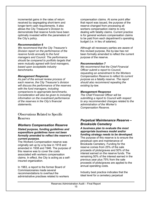incremental gains in the rates of return received by segregating short-term and longer-term cash requirements. It also allows the City Treasurer's Division to demonstrate that reserve funds have been optimally invested within the parameters of the City's policy.

#### *Recommendation 6*

*We recommend that the City Treasurer's Division report on the performance of the reserve funds annually to the fund managers and Council. The performance should be compared to portfolio targets that were mutually agreed with fund managers, based upon acceptable industry benchmarks.* 

#### *Management Response*

*As part of the annual review process of each reserve, the City Treasurer's division will discuss the performance of the reserves with the fund managers, including comparisons to appropriate benchmarks. Consideration will also be given to including information on the investment performance of the reserves in the City's financial statements.* 

#### Observations Related to Specific Reserves

#### *Workers Compensation Reserve*

#### *Stated purpose, funding guidelines and expenditure guidelines have not been formally amended to reflect the reserve's current purpose.*

The Workers Compensation reserve was originally set up by a by-law in 1918 and amended in 1938 and 1946. The purpose of this reserve was to cover the costs associated with workers compensation claims. In effect, the City is acting as a selfinsured organization.

In 1983, a report to the former Board of Commissionaires made several recommendations to overhaul the administrative practises related to workers

compensation claims. At some point after that report was issued, the purpose of the reserve changed from processing all workers compensation claims to only dealing with fatality claims. Current practice is for general workers compensation claims to be paid from each department's operating budget (i.e. in lieu of salaries).

Although all necessary parties are aware of this revised purpose, the by-law has not been formally amended to reflect the current purpose of the reserve.

#### *Recommendation 7*

*We recommend that the Chief Financial Officer submit a report to Council, requesting an amendment to the Workers Compensation Reserve to reflect its current purpose as a fatality reserve. The report should also recommend repealing the existing by-law.* 

#### *Management Response*

*The Chief Financial Officer will be submitting a report to Council with respect to any recommended changes related to the administration of the Worker's Compensation Reserve.* 

#### *Perpetual Maintenance Reserve – Brookside Cemetery*

#### *A business plan to evaluate the most appropriate business model and/or funding strategy needs to be developed.*

The purpose of this reserve is to ensure the perpetual care and maintenance of Brookside Cemetery. Funding for the reserve comes from 25% of the sale proceeds of plots/graves and 50% of the interest earned on the reserve funds. The remaining 50% of the interest earned in the previous year plus 75% from the sale proceeds of plots/graves are applied to the annual operating costs.

Industry best practice indicates that the ideal level for a cemetery perpetual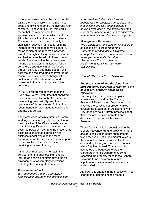maintenance reserve can be calculated by taking the annual care and maintenance costs and dividing them by the average rate of return. Using 2005 figures, this would mean that the reserve should be approximately \$18 million, which is almost \$8 million more than the current balance. The current shortfall is due primarily to a significant reduction (almost 50%) in the interest earned on its reserve balance. A major portion of the reserve funds was invested in high yielding bonds that matured and had to be replaced with lower interest bonds. The shortfall in the reserve level means that supplemental funding for the cemetery's operations must be funded through the City's operating budget. We note that the required funding level for the reserve fund is subject to change with fluctuations in the rate of return and increases in the occupancy rate of the cemetery.

In 1991, a report was forwarded to the Executive Policy Committee that analyzed the options available to the City in terms of maintaining responsibility over the operations of its cemeteries. At that time, a recommendation was made to continue to operate this service.

The Cemeteries Administrator is currently working on developing a business plan for the operation of the City's cemeteries. In light of the significant changes that have occurred between 1991 and the present, the business plan should address which business model would be the most appropriate for the cemeteries service, prior to the Brookside Cemetery reserve receiving increased funding.

If the recommendation is to retain the service, then the business plan should include an analysis of alternative funding arrangements for cemetery operations including the funding of the reserve.

#### *Recommendation 8*

*We recommend that the Cemeteries Administrator include in the business plan* 

*an evaluation of alternative business models for the cemeteries. In addition, and, if applicable, the plan should include a detailed evaluation of the adequacy of the level of the reserve and a plan to ensure the reserve reaches an adequate funding level.* 

#### *Management Response*

*The Cemeteries Administrator will ensure a business plan is prepared for the Cemeteries Branch that will examine, among other issues, the adequacy of each municipal cemetery's Perpetual Maintenance Fund to meet the requirements for which they were established.* 

#### *Fiscal Stabilization Reserve*

#### *The process involving the deposit of property taxes collected in relation to the sale of City property needs to be reviewed.*

Currently, there is a process in place, administered by staff at the Planning Property & Development Department that involves the collection of property taxes through the Statement of Adjustment when City lands are sold. Current practice is that these tax amounts are collected and deposited in the Fiscal Stabilization Reserve.

These funds should be deposited into the General Revenue Fund to allow for a more accurate calculation of net supplemental taxes received. Net supplemental taxes is the amount of property tax identified as outstanding for a given portion of the year when City land is sold. This amount is estimated and budgeted for by the Corporate Finance Department. By not recording the property taxes in the General Revenue Fund, the amount of net supplemental taxes actually received is understated.

Although this change in the process will not change the total funding the reserve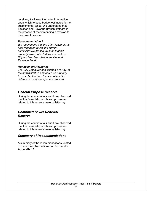receives, it will result in better information upon which to base budget estimates for net supplemental taxes. We understand that Taxation and Revenue Branch staff are in the process of recommending a revision to the current process.

#### *Recommendation 9*

*We recommend that the City Treasurer, as fund manager, revise the current administrative procedure such that the property taxes collected from the sale of City land be deposited in the General Revenue Fund.*

#### *Management Response*

*The City Treasurer has initiated a review of the administrative procedure on property taxes collected from the sale of land to determine if any changes are required.* 

#### *General Purpose Reserve*

During the course of our audit, we observed that the financial controls and processes related to this reserve were satisfactory.

#### *Combined Sewer Renewal Reserve*

During the course of our audit, we observed that the financial controls and processes related to this reserve were satisfactory.

#### *Summary of Recommendations*

A summary of the recommendations related to the above observations can be found in **Appendix 10.**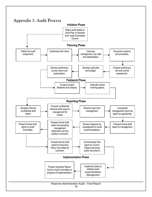### Appendix 1: Audit Process

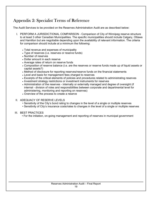### Appendix 2: Specialist Terms of Reference

The Audit Services to be provided on the Reserves Administration Audit are as described below:

- I. PERFORM A JURISDICTIONAL COMPARISON Comparison of City of Winnipeg reserve structure to at least 3 other Canadian Municipalities. The specific municipalities should include Calgary, Ottawa and Hamilton but are negotiable depending upon the availability of relevant information. The criteria for comparison should include at a minimum the following:
	- Total revenue and expenses of municipality
	- Type of reserves (i.e. reserves or reserve funds)
	- Number of reserves
	- Dollar amount in each reserve
	- Average rates of return on reserve funds
	- Composition of reserve balance (i.e. are the reserves or reserve funds made up of liquid assets or capital assets?)
	- Method of disclosure for reporting reserves/reserve funds on the financial statements
	- Level and basis for management fees charged to reserves
	- Excerpts of the critical elements of policies and procedures related to administrating reserves
	- Investment strategy restrictions or investment instruments for reserves
	- Administration of the reserves internally or externally managed and degree of oversight (if internal - division of roles and responsibilities between corporate and departmental level for administering, monitoring and reporting on reserves)
	- Overview of the process to create a reserve

#### II. ADEQUACY OF RESERVE LEVELS

- Sensitivity of the City's bond rating to changes in the level of a single or multiple reserves
- Sensitivity of City's insurance costs/rates to changes in the level of a single or multiple reserves

#### III. BEST PRACTICES

• For the initiation, on-going management and reporting of reserves in municipal government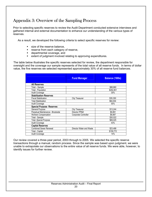### Appendix 3: Overview of the Sampling Process

Prior to selecting specific reserves to review the Audit Department conducted extensive interviews and gathered internal and external documentation to enhance our understanding of the various types of reserves.

As a result, we developed the following criteria to select specific reserves for review:

- size of the reserve balance,
- **EXEC** reserve from each category of reserve,
- **example 2** departmental coverage, and
- **EXTER 1** extent of judgment involved relating to approving expenditures.

The table below illustrates the specific reserves selected for review, the department responsible for oversight and the coverage our sample represents of the total value of all reserve funds. In terms of dollar value, the five reserves we selected represented approximately 30% of all reserve fund balances.

|                                   | <b>Fund Manager</b>      | <b>Balance ('000s)</b> |
|-----------------------------------|--------------------------|------------------------|
| <b>All Reserves</b>               |                          |                        |
| Total - Sample                    |                          | \$88,860               |
| Total - Population                |                          | \$292,801              |
| <b>Audit Coverage</b>             |                          | 30%                    |
| <b>Stabilization Reserves</b>     |                          |                        |
| <b>Fiscal Stabilization</b>       | <b>City Treasurer</b>    | \$35,350               |
| Total Stabilization               |                          | \$64,004               |
| <b>Audit Coverage</b>             |                          | 55%                    |
| <b>Special Purpose Reserves</b>   |                          |                        |
| <b>General Purpose</b>            | <b>City Treasurer</b>    | \$13,244               |
| Perpetual Maintenance - Brookside | Director PP&D            | \$9,891                |
| Workers Compensation              | Corporate Controller     | \$6,887                |
| Total - Sample                    |                          | \$30,022               |
| <b>Total -Special Purpose</b>     |                          | \$69,025               |
| Audit Coverage                    |                          | 43%                    |
| <b>Capital Reserves</b>           |                          |                        |
| <b>Combined Sewer Renewal</b>     | Director Water and Waste | \$23,488               |
| Total - Capital                   |                          | \$159,772              |
| <b>Audit Coverage</b>             |                          | 14%                    |

Our review covered a three-year period, 2003 through to 2005. We selected the specific reserve transactions through a manual, random process. Since the sample was based upon judgment, we were unable to extrapolate our observations to the entire value of all reserve funds. We were able, however, to identify issues for further review.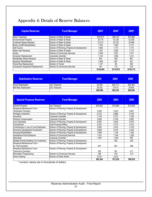### Appendix 4: Details of Reserve Balances

| <b>Capital Reserves</b>                 | <b>Fund Manager</b>                          | 2003*     | 2004*     | 2005*     |
|-----------------------------------------|----------------------------------------------|-----------|-----------|-----------|
| Water Treatment                         | Director of Water & Waste                    | \$79,073  | \$93,191  | \$73,680  |
| <b>Environmental Projects</b>           | Director of Water & Waste                    | 39,175    | 51,230    | 52,336    |
| <b>Combined Sewer Renewal</b>           | Director of Water & Waste                    | 21,917    | 25,132    | 23,488    |
| <b>Brady Landfill Rehabilitation</b>    | Director of Water & Waste                    | 1.576     | 1.845     | 2,114     |
| <b>Golf Course</b>                      | Director of Planning, Property & Development | 1.683     | 1.714     | 1.773     |
| Water main Renewal                      | Director of Water & Waste                    | 1.391     | 2.005     | 1.710     |
| Library                                 | Director of Community Services               | 3,199     | 1,821     | 1,477     |
| Computer Replacement                    | Corporate Controller                         | 1.143     | 1.092     | 1.413     |
| <b>Wastewater Sewer Renewal</b>         | Director of Water & Waste                    | 452       | 593       | 861       |
| <b>Aqueduct Rehabilitation</b>          | Director of Water & Waste                    | 1.949     | 857       | 457       |
| <b>Transit Bus Replacement</b>          | Director of Transit                          | 1.147     | 89        | 359       |
| <b>Concession Equipment Replacement</b> | Director of Community Services               | 99        | 110       | 104       |
|                                         |                                              | \$152,804 | \$179,679 | \$159,772 |

| <b>Stabilization Reserves</b> | <b>Fund Manager</b>   | 2003     | 2004     | 2005     |
|-------------------------------|-----------------------|----------|----------|----------|
| <b>Fiscal Stabilization</b>   | <b>City Treasurer</b> | 34.246   | \$34.712 | \$35.350 |
| Mill Rate Stabilization       | <b>City Treasurer</b> | 26.342   | 27.613   | 28.654   |
|                               |                       | \$60,588 | \$62,325 | \$64.004 |

| <b>Special Purpose Reserves</b>          | <b>Fund Manager</b>                          | 2003     | 2004     | 2005     |
|------------------------------------------|----------------------------------------------|----------|----------|----------|
| <b>General Purpose</b>                   | <b>City Treasurer</b>                        | \$16,923 | \$14,060 | \$13,244 |
| Perpetual Maintenance Fund -             | Director of Planning, Property & Development |          |          |          |
| <b>Brookside Cemetery</b>                |                                              | 9,282    | 9,523    | 9,891    |
| Heritage Investment                      | Director of Planning, Property & Development | 8,723    | 8,888    | 8,744    |
| Insurance                                | Corporate Controller                         | 7,145    | 6,721    | 7,340    |
| <b>Workers Compensation</b>              | Corporate Controller                         | 5,605    | 6,146    | 6,887    |
| Land Operating                           | Director of Planning, Property & Development | 6,697    | 5,920    | 5,975    |
| <b>Commitment</b>                        | <b>Chief Financial Officer</b>               | 5,247    | 4,174    | 4,310    |
| Contributions in Lieu of Land Dedication | Director of Planning, Property & Development | 2,405    | 2,914    | 4,130    |
| Economic Development Investment          | Director of Planning, Property & Development | 5,608    | 5,474    | 3,225    |
| Housing Rehabilitation                   | Director of Planning, Property & Development | 1,849    | 1.138    | 1,304    |
| Assiniboine Park Enterprise              | Director of Community Services               | 1.031    | 1,164    | 1,226    |
| Idea Bank                                | Corporate Controller                         | 1,497    | 1.336    | 907      |
| Multiple-Family Dwelling Tax Investment  | Director of Planning, Property & Development |          | 250      | 530      |
| Perpetual Maintenance Fund -             | Director of Planning, Property & Development |          |          |          |
| St. Vital Cemetery                       |                                              | 507      | 547      | 588      |
| Perpetual Maintenance Fund -             | Director of Planning, Property & Development |          |          |          |
| Transcona Cemetery                       |                                              | 355      | 381      | 411      |
| Recreation Programming                   | Director of Community Services               | 329      | 316      | 313      |
| Snow Clearing                            | Director of Public Works                     | 9,161    | 3,272    |          |
|                                          |                                              | \$82,364 | \$72,224 | \$69,025 |

\* numeric values are in thousands of dollars.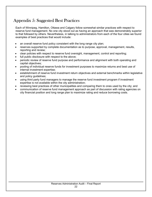### Appendix 5: Suggested Best Practices

Each of Winnipeg, Hamilton, Ottawa and Calgary follow somewhat similar practices with respect to reserve fund management. No one city stood out as having an approach that was demonstrably superior to that followed by others. Nevertheless, in talking to administrators from each of the four cities we found examples of best practices that would include:

- an overall reserve fund policy consistent with the long range city plan;
- reserves supported by complete documentation as to purpose, approval, management, results, reporting and review;
- clear policies with respect to reserve fund oversight, management, control and reporting;
- full public disclosure with respect to the above;
- periodic review of reserve fund purpose and performance and alignment with both operating and capital objectives;
- pooling of individual reserve funds for investment purposes to maximize returns and best use of internal investment expertise;
- establishment of reserve fund investment return objectives and external benchmarks within legislative and policy guidelines;
- using third party fund managers to manage the reserve fund investment program if investment expertise is not available within the city administration;
- reviewing best practices of other municipalities and comparing them to ones used by the city; and
- communication of reserve fund management approach as part of discussion with rating agencies on city financial position and long range plan to maximize rating and reduce borrowing costs.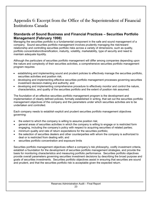### Appendix 6: Excerpt from the Office of the Superintendent of Financial Institutions Canada

#### **Standards of Sound Business and Financial Practices – Securities Portfolio Management (February 1998)**

Managing the securities portfolio is a fundamental component in the safe and sound management of a company. Sound securities portfolio management involves prudently managing the risk/reward relationship and controlling securities portfolio risks across a variety of dimensions, such as quality, portfolio concentration/diversification, maturity, volatility, marketability, type of security and need to maintain adequate liquidity.

Although the particulars of securities portfolio management will differ among companies depending upon the nature and complexity of their securities activities, a comprehensive securities portfolio management program requires:

- establishing and implementing sound and prudent policies to effectively manage the securities portfolio, securities activities and position risk;
- developing and implementing effective securities portfolio management processes governing securities investment decision-making and authority; and
- developing and implementing comprehensive procedure to effectively monitor and control the nature, characteristics, and quality of the securities portfolio and the extent of position risk assumed.

The foundation of an effective securities portfolio management program is the development and implementation of clearly defined policies, formally established in writing, that set out the securities portfolio management objectives of the company and the parameters under which securities activities are to be undertaken and controlled.

Each company needs to establish explicit and prudent securities portfolio management objectives governing:

- the extent to which the company is willing to assume position risk;
- general areas of securities activities in which the company is willing to engage or is restricted form engaging, including the company's policy with respect to acquiring securities of related parties;
- minimum quality and rate of return expectations for the securities portfolio;
- the selection of securities dealers and other counterparties with whom the company is authorized to deal or is restricted from dealing with; and
- securities portfolio concentration and exposure limits

Securities portfolio management objectives reflect a company's risk philosophy, codify investment criteria, establish a foundation for the development of securities portfolio management strategies, and provide the basis for monitoring characteristics and measuring portfolio performance. Securities portfolio objectives provide overall parameters governing securities investment decisions by describing the broad purpose and goals of securities investments. Securities portfolio objectives assist in ensuring that securities are sound and prudent, and that the securities portfolio risk is acceptable given the expected return.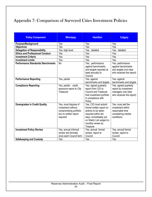### Appendix 7: Comparison of Surveyed Cities Investment Policies

| <b>Policy Component</b>                                           | <b>Winnipeg</b>                                                                                           | <b>Hamilton</b>                                                                                                                                                                      | <b>Calgary</b>                                                                                   |
|-------------------------------------------------------------------|-----------------------------------------------------------------------------------------------------------|--------------------------------------------------------------------------------------------------------------------------------------------------------------------------------------|--------------------------------------------------------------------------------------------------|
| Purpose/Background                                                | Yes                                                                                                       | Yes                                                                                                                                                                                  | Yes                                                                                              |
| <b>Objectives</b>                                                 | Yes                                                                                                       | Yes                                                                                                                                                                                  | Yes                                                                                              |
| <b>Delegation of Responsibility</b>                               | Yes, high level                                                                                           | Yes, detailed                                                                                                                                                                        | Yes, detailed                                                                                    |
| <b>Ethics and Professional Conduct</b>                            | Yes                                                                                                       | Yes                                                                                                                                                                                  | Yes                                                                                              |
| <b>Investment Criteria</b>                                        | Yes                                                                                                       | Yes                                                                                                                                                                                  | Yes                                                                                              |
| <b>Investment Limits</b>                                          | Yes                                                                                                       | Yes                                                                                                                                                                                  | Yes                                                                                              |
| <b>Performance Standards/ Benchmarks</b>                          | <b>No</b>                                                                                                 | Yes, performance<br>against benchmarks<br>and targets reported at<br>least annually to<br>Council                                                                                    | Yes, performance<br>against benchmarks<br>and targets (not clear<br>who receives the report)     |
| <b>Performance Reporting</b>                                      | Yes, partial                                                                                              | Yes, against<br>benchmarks and targets                                                                                                                                               | Yes, against<br>benchmarks and targets                                                           |
| <b>Compliance Reporting</b>                                       | Yes, partial - credit<br>exposure report to City<br>Treasurer                                             | Yes, signed quarterly<br>report from CIO to<br><b>Council and Treasurer</b><br>that investment portfolio<br>in compliance with<br>Policy                                             | Yes, signed quarterly<br>report by investment<br>managers (not clear<br>who receives the report) |
| <b>Downgrades in Credit Quality</b>                               | Yes, must dispose of<br>investment without<br>compromising portfolio<br>but no written report<br>required | Yes, CIO must submit<br>formal written report on<br>actions to be taken<br>required within ten<br>days, immediately put<br>on Watch List subject to<br>monthly review by<br>Treasure | Yes, must sell the<br>investment within<br>reasonable time<br>considering market<br>conditions   |
| <b>Investment Policy Review</b><br><b>Safekeeping and Custody</b> | Yes, annual informal<br>review and formally<br>once each Council term<br>Yes                              | Yes, annual formal<br>review, report to<br>Council<br>Yes                                                                                                                            | Yes, annual formal<br>review, report to<br>Council<br>Yes                                        |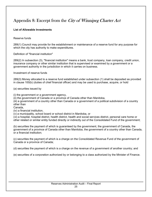### Appendix 8: Excerpt from the City of Winnipeg Charter Act

#### **List of Allowable Investments**

Reserve funds

289(1) Council may provide for the establishment or maintenance of a reserve fund for any purpose for which the city has authority to make expenditures.

Definition of "financial institution"

289(2) In subsection (3), "financial institution" means a bank, trust company, loan company, credit union, insurance company or other similar institution that is supervised or examined by a government or a government authority in the jurisdiction in which it carries on business.

Investment of reserve funds

289(3) Money allocated to a reserve fund established under subsection (1) shall be deposited as provided in clause 100(b) (duties of chief financial officer) and may be used to purchase, acquire, or hold

(a) securities issued by

(i) the government or a government agency,

(ii) the government of Canada or a province of Canada other than Manitoba,

(iii) a government of a country other than Canada or a government of a political subdivision of a country other than

Canada,

(iv) a financial institution,

(v) a municipality, school board or school district in Manitoba, or

(vi) a hospital, hospital district, health district, health and social services district, personal care home or other related or similar entity funded directly or indirectly out of the Consolidated Fund of the government;

(b) securities the payment of which is guaranteed by the government, the government of Canada, the government of a province of Canada other than Manitoba, the government of a country other than Canada, or a financial institution;

(c) securities the payment of which is a charge on the Consolidated Revenue Fund of the government of Canada or a province of Canada;

(d) securities the payment of which is a charge on the revenue of a government of another country; and

(e) securities of a corporation authorized by or belonging to a class authorized by the Minister of Finance.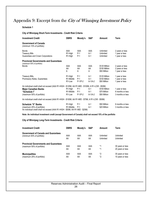### Appendix 9: Excerpt from the City of Winnipeg Investment Policy

#### **Schedule 1**

#### **City of Winnipeg Short-Term Investments - Credit Risk Criteria**

| <b>Investment Credit</b>                                                                                                                   | <b>DBRS</b>                                              | Moody's                     | S&P                         | Amount                                         | Term                                                   |
|--------------------------------------------------------------------------------------------------------------------------------------------|----------------------------------------------------------|-----------------------------|-----------------------------|------------------------------------------------|--------------------------------------------------------|
| <b>Government of Canada</b><br>(minimum 10% of portfolio)                                                                                  |                                                          |                             |                             |                                                |                                                        |
| <b>Bonds</b><br><b>Treasury Bills</b><br>Guarantees and Crown Corporations                                                                 | AAA<br>R1-High<br>R1-High                                | AAA<br>$P-1$<br>$P-1$       | AAA<br>$A-1$<br>$A-1$       | Unlimited<br>Unlimited<br>Unlimited            | 2 years or less<br>1 year or less<br>1 year or less    |
| <b>Provincial Governments and Guarantees</b>                                                                                               |                                                          |                             |                             |                                                |                                                        |
| (maximum 50% of portfolio)<br><b>Bonds</b>                                                                                                 | AAA<br>AA<br>A                                           | AAA<br>AA<br>A              | AAA<br>AA<br>A              | \$125 Million<br>\$100 Million<br>\$50 Million | 2 years or less<br>2 years or less<br>1 year or less   |
| Treasury Bills,<br>Promissory Notes, Guarantees                                                                                            | R1-High<br>R <sub>1</sub> -Middle<br>R <sub>1</sub> -Low | $P-1$<br>$P-1$<br>$P-1/P-2$ | $A-1$<br>$A-1$<br>$A-1/A-2$ | \$125 Million<br>\$100 Million<br>\$50 Million | 1 year or less<br>1 year or less<br>1 year or less     |
| An individual credit shall not exceed (AAA R1-HIGH - \$125M, AA R1-MID - \$100M, A R1-LOW - \$50M)                                         |                                                          |                             |                             |                                                |                                                        |
| <b>Major Canadian Banks</b><br>"Schedule I"<br>(maximum 50% of portfolio)                                                                  | R1-High<br>R <sub>1</sub> -Middle<br>R <sub>1</sub> -Low | $P-1$<br>$P-1$<br>$P-1/P-2$ | $A-1$<br>$A-1$<br>$A-1/A-2$ | \$100 Million<br>\$75 Million<br>\$50 Million  | 1 year or less<br>6 months or less<br>3 months or less |
| An individual credit shall not exceed (AAA R1-HIGH - \$100M, AA R1-MID - \$75M, A R1-LOW - \$50M)                                          |                                                          |                             |                             |                                                |                                                        |
| <b>Schedule "II" Banks</b><br>(maximum 25% of portfolio)<br>An individual credit shall not exceed (AAA R1-HIGH - \$50M, AA R1-MID - \$25M) | R1-High<br>R1-Middle                                     | $P-1$<br>$P-1$              | $A-1$<br>$A-1$              | \$50 Million<br>\$25 Million                   | 6 months or less<br>3 months or less                   |

**Note: An individual investment credit (except Government of Canada) shall not exceed 15% of the portfolio**

#### **City of Winnipeg Long-Term Investments - Credit Risk Criteria**

| <b>Investment Credit</b>                                                 | <b>DBRS</b> | Moody's   | S&P       | Amount                 | Term                   |
|--------------------------------------------------------------------------|-------------|-----------|-----------|------------------------|------------------------|
| <b>Government of Canada and Guarantees</b><br>(minimum 50% of portfolio) | AAA<br>AA   | AAA<br>AA | AAA<br>AA | Unlimited<br>Unlimited | Unlimited<br>Unlimited |
| <b>Provincial Governments and Guarantees</b>                             |             |           |           |                        |                        |
| (maximum 50% of portfolio)                                               | AAA         | AAA       | AAA       | *1                     | 30 years or less       |
|                                                                          | AA          | AA        | AA        | *1                     | 20 years or less       |
| <b>Municipalities</b>                                                    | AAA         | AAA       | AAA       | *2                     | 30 years or less       |
| (maximum 25% of portfolio)                                               | AA          | AA        | AA        | *2                     | 10 years or less       |